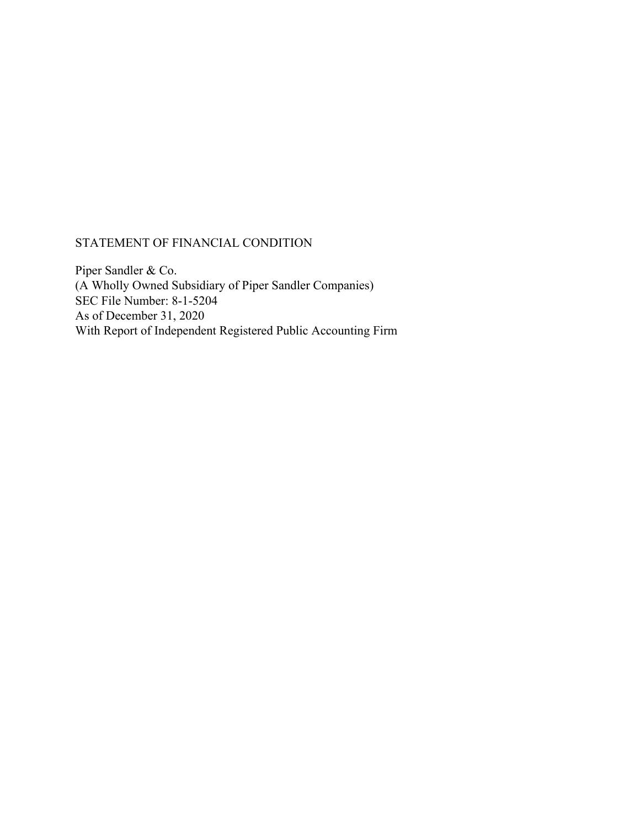# STATEMENT OF FINANCIAL CONDITION

Piper Sandler & Co. (A Wholly Owned Subsidiary of Piper Sandler Companies) SEC File Number: 8-1-5204 As of December 31, 2020 With Report of Independent Registered Public Accounting Firm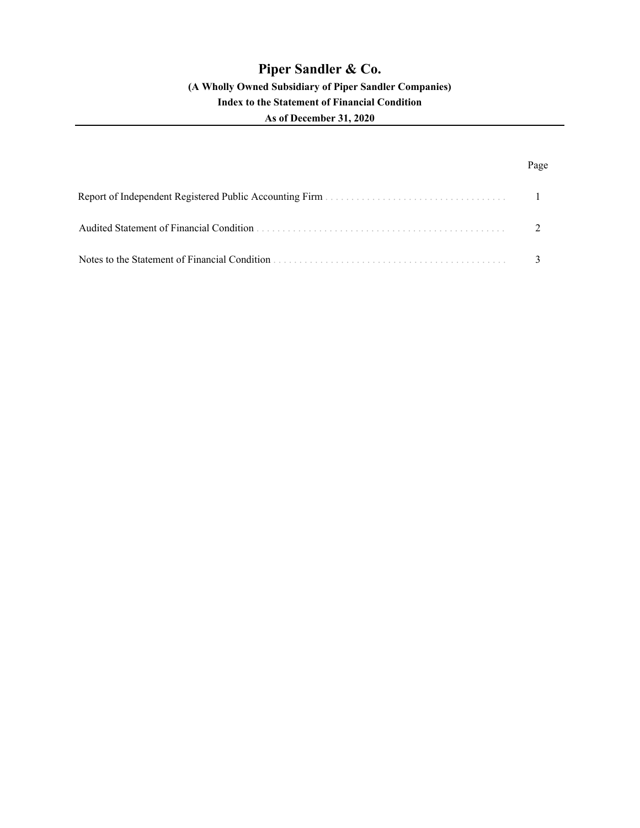# **Piper Sandler & Co.**

### **(A Wholly Owned Subsidiary of Piper Sandler Companies)**

# **Index to the Statement of Financial Condition**

### **As of December 31, 2020**

# Page

| Audited Statement of Financial Condition      |  |
|-----------------------------------------------|--|
| Notes to the Statement of Financial Condition |  |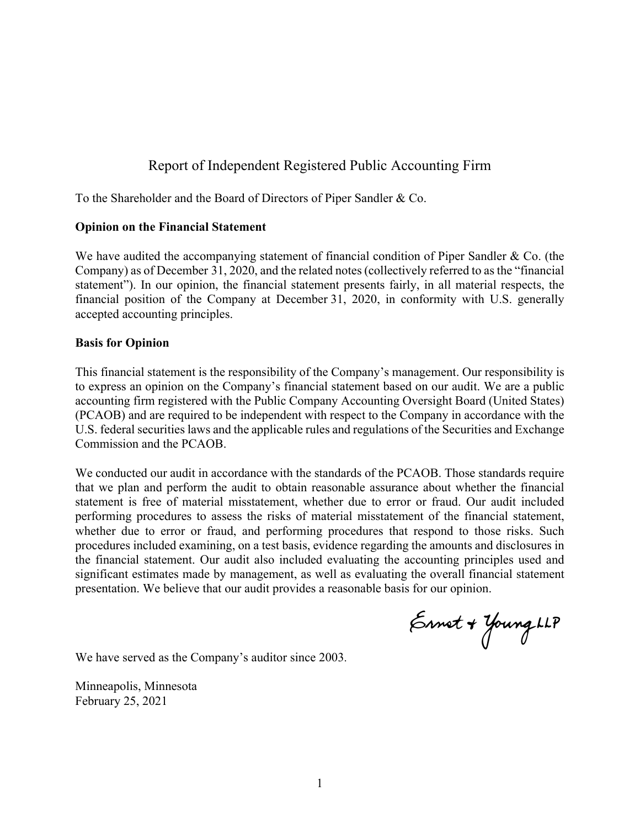# Report of Independent Registered Public Accounting Firm

To the Shareholder and the Board of Directors of Piper Sandler & Co.

### **Opinion on the Financial Statement**

We have audited the accompanying statement of financial condition of Piper Sandler & Co. (the Company) as of December 31, 2020, and the related notes (collectively referred to as the "financial statement"). In our opinion, the financial statement presents fairly, in all material respects, the financial position of the Company at December 31, 2020, in conformity with U.S. generally accepted accounting principles.

### **Basis for Opinion**

This financial statement is the responsibility of the Company's management. Our responsibility is to express an opinion on the Company's financial statement based on our audit. We are a public accounting firm registered with the Public Company Accounting Oversight Board (United States) (PCAOB) and are required to be independent with respect to the Company in accordance with the U.S. federal securities laws and the applicable rules and regulations of the Securities and Exchange Commission and the PCAOB.

We conducted our audit in accordance with the standards of the PCAOB. Those standards require that we plan and perform the audit to obtain reasonable assurance about whether the financial statement is free of material misstatement, whether due to error or fraud. Our audit included performing procedures to assess the risks of material misstatement of the financial statement, whether due to error or fraud, and performing procedures that respond to those risks. Such procedures included examining, on a test basis, evidence regarding the amounts and disclosures in the financial statement. Our audit also included evaluating the accounting principles used and significant estimates made by management, as well as evaluating the overall financial statement presentation. We believe that our audit provides a reasonable basis for our opinion.

Ennet + Young LLP

We have served as the Company's auditor since 2003.

Minneapolis, Minnesota February 25, 2021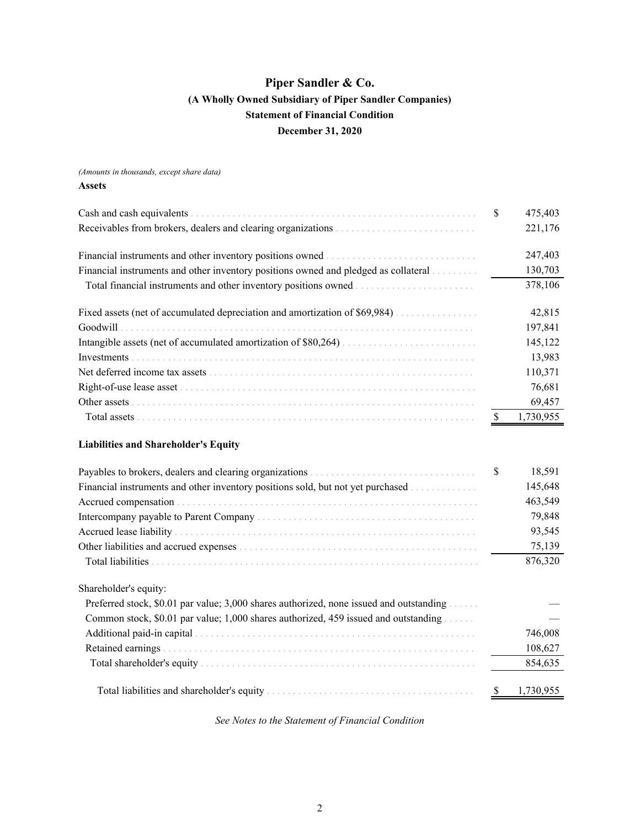<span id="page-3-0"></span>*(Amounts in thousands, except share data)*

### **Assets**

| Cash and cash equivalents                                                               | \$  | 475,403   |
|-----------------------------------------------------------------------------------------|-----|-----------|
| Receivables from brokers, dealers and clearing organizations                            |     | 221,176   |
|                                                                                         |     | 247,403   |
| Financial instruments and other inventory positions owned and pledged as collateral     |     | 130,703   |
|                                                                                         |     | 378,106   |
|                                                                                         |     | 42,815    |
| Goodwill                                                                                |     | 197,841   |
|                                                                                         |     | 145,122   |
| Investments                                                                             |     | 13,983    |
|                                                                                         |     | 110,371   |
|                                                                                         |     | 76,681    |
|                                                                                         |     | 69,457    |
|                                                                                         | -\$ | 1,730,955 |
| <b>Liabilities and Shareholder's Equity</b>                                             |     |           |
|                                                                                         | \$  | 18,591    |
| Financial instruments and other inventory positions sold, but not yet purchased         |     | 145,648   |
|                                                                                         |     | 463,549   |
|                                                                                         |     | 79,848    |
|                                                                                         |     | 93,545    |
|                                                                                         |     | 75,139    |
|                                                                                         |     | 876,320   |
| Shareholder's equity:                                                                   |     |           |
| Preferred stock, \$0.01 par value; 3,000 shares authorized, none issued and outstanding |     |           |
| Common stock, \$0.01 par value; 1,000 shares authorized, 459 issued and outstanding     |     |           |
|                                                                                         |     | 746,008   |
|                                                                                         |     | 108,627   |
|                                                                                         |     | 854,635   |

Total liabilities and shareholder's equity . . . . . . . . . . . . . . . . . . . . . . . . . . . . . . . . . . . . . . . . \$ 1,730,955

*See Notes to the Statement of Financial Condition*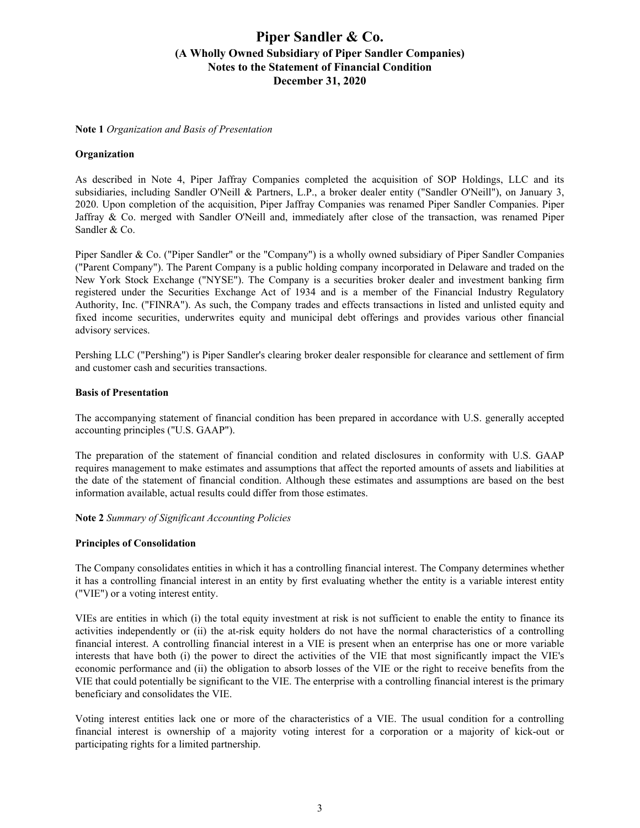#### <span id="page-4-0"></span>**Note 1** *Organization and Basis of Presentation*

### **Organization**

As described in Note 4, Piper Jaffray Companies completed the acquisition of SOP Holdings, LLC and its subsidiaries, including Sandler O'Neill & Partners, L.P., a broker dealer entity ("Sandler O'Neill"), on January 3, 2020. Upon completion of the acquisition, Piper Jaffray Companies was renamed Piper Sandler Companies. Piper Jaffray & Co. merged with Sandler O'Neill and, immediately after close of the transaction, was renamed Piper Sandler & Co.

Piper Sandler & Co. ("Piper Sandler" or the "Company") is a wholly owned subsidiary of Piper Sandler Companies ("Parent Company"). The Parent Company is a public holding company incorporated in Delaware and traded on the New York Stock Exchange ("NYSE"). The Company is a securities broker dealer and investment banking firm registered under the Securities Exchange Act of 1934 and is a member of the Financial Industry Regulatory Authority, Inc. ("FINRA"). As such, the Company trades and effects transactions in listed and unlisted equity and fixed income securities, underwrites equity and municipal debt offerings and provides various other financial advisory services.

Pershing LLC ("Pershing") is Piper Sandler's clearing broker dealer responsible for clearance and settlement of firm and customer cash and securities transactions.

### **Basis of Presentation**

The accompanying statement of financial condition has been prepared in accordance with U.S. generally accepted accounting principles ("U.S. GAAP").

The preparation of the statement of financial condition and related disclosures in conformity with U.S. GAAP requires management to make estimates and assumptions that affect the reported amounts of assets and liabilities at the date of the statement of financial condition. Although these estimates and assumptions are based on the best information available, actual results could differ from those estimates.

#### **Note 2** *Summary of Significant Accounting Policies*

#### **Principles of Consolidation**

The Company consolidates entities in which it has a controlling financial interest. The Company determines whether it has a controlling financial interest in an entity by first evaluating whether the entity is a variable interest entity ("VIE") or a voting interest entity.

VIEs are entities in which (i) the total equity investment at risk is not sufficient to enable the entity to finance its activities independently or (ii) the at-risk equity holders do not have the normal characteristics of a controlling financial interest. A controlling financial interest in a VIE is present when an enterprise has one or more variable interests that have both (i) the power to direct the activities of the VIE that most significantly impact the VIE's economic performance and (ii) the obligation to absorb losses of the VIE or the right to receive benefits from the VIE that could potentially be significant to the VIE. The enterprise with a controlling financial interest is the primary beneficiary and consolidates the VIE.

Voting interest entities lack one or more of the characteristics of a VIE. The usual condition for a controlling financial interest is ownership of a majority voting interest for a corporation or a majority of kick-out or participating rights for a limited partnership.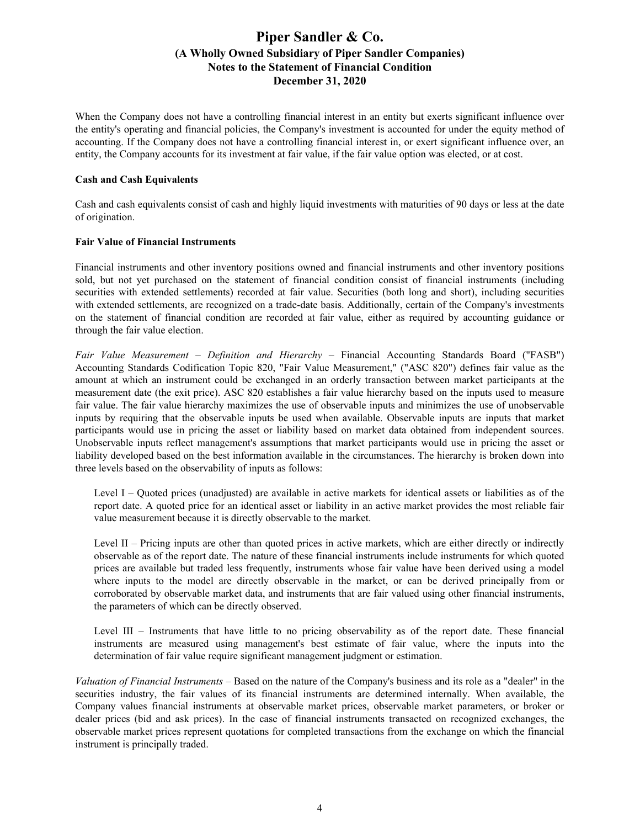When the Company does not have a controlling financial interest in an entity but exerts significant influence over the entity's operating and financial policies, the Company's investment is accounted for under the equity method of accounting. If the Company does not have a controlling financial interest in, or exert significant influence over, an entity, the Company accounts for its investment at fair value, if the fair value option was elected, or at cost.

### **Cash and Cash Equivalents**

Cash and cash equivalents consist of cash and highly liquid investments with maturities of 90 days or less at the date of origination.

### **Fair Value of Financial Instruments**

Financial instruments and other inventory positions owned and financial instruments and other inventory positions sold, but not yet purchased on the statement of financial condition consist of financial instruments (including securities with extended settlements) recorded at fair value. Securities (both long and short), including securities with extended settlements, are recognized on a trade-date basis. Additionally, certain of the Company's investments on the statement of financial condition are recorded at fair value, either as required by accounting guidance or through the fair value election.

*Fair Value Measurement* – *Definition and Hierarchy* – Financial Accounting Standards Board ("FASB") Accounting Standards Codification Topic 820, "Fair Value Measurement," ("ASC 820") defines fair value as the amount at which an instrument could be exchanged in an orderly transaction between market participants at the measurement date (the exit price). ASC 820 establishes a fair value hierarchy based on the inputs used to measure fair value. The fair value hierarchy maximizes the use of observable inputs and minimizes the use of unobservable inputs by requiring that the observable inputs be used when available. Observable inputs are inputs that market participants would use in pricing the asset or liability based on market data obtained from independent sources. Unobservable inputs reflect management's assumptions that market participants would use in pricing the asset or liability developed based on the best information available in the circumstances. The hierarchy is broken down into three levels based on the observability of inputs as follows:

Level I – Quoted prices (unadjusted) are available in active markets for identical assets or liabilities as of the report date. A quoted price for an identical asset or liability in an active market provides the most reliable fair value measurement because it is directly observable to the market.

Level II – Pricing inputs are other than quoted prices in active markets, which are either directly or indirectly observable as of the report date. The nature of these financial instruments include instruments for which quoted prices are available but traded less frequently, instruments whose fair value have been derived using a model where inputs to the model are directly observable in the market, or can be derived principally from or corroborated by observable market data, and instruments that are fair valued using other financial instruments, the parameters of which can be directly observed.

Level III – Instruments that have little to no pricing observability as of the report date. These financial instruments are measured using management's best estimate of fair value, where the inputs into the determination of fair value require significant management judgment or estimation.

*Valuation of Financial Instruments* – Based on the nature of the Company's business and its role as a "dealer" in the securities industry, the fair values of its financial instruments are determined internally. When available, the Company values financial instruments at observable market prices, observable market parameters, or broker or dealer prices (bid and ask prices). In the case of financial instruments transacted on recognized exchanges, the observable market prices represent quotations for completed transactions from the exchange on which the financial instrument is principally traded.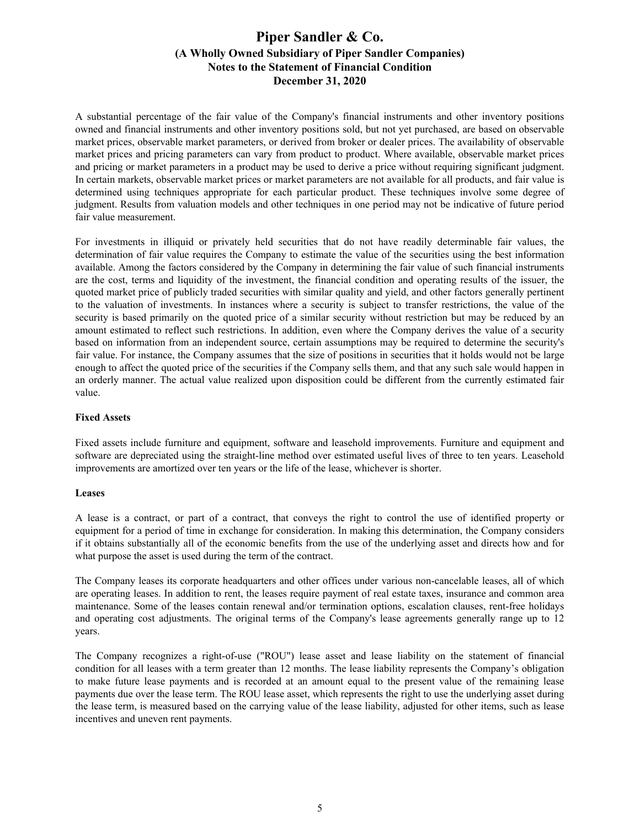A substantial percentage of the fair value of the Company's financial instruments and other inventory positions owned and financial instruments and other inventory positions sold, but not yet purchased, are based on observable market prices, observable market parameters, or derived from broker or dealer prices. The availability of observable market prices and pricing parameters can vary from product to product. Where available, observable market prices and pricing or market parameters in a product may be used to derive a price without requiring significant judgment. In certain markets, observable market prices or market parameters are not available for all products, and fair value is determined using techniques appropriate for each particular product. These techniques involve some degree of judgment. Results from valuation models and other techniques in one period may not be indicative of future period fair value measurement.

For investments in illiquid or privately held securities that do not have readily determinable fair values, the determination of fair value requires the Company to estimate the value of the securities using the best information available. Among the factors considered by the Company in determining the fair value of such financial instruments are the cost, terms and liquidity of the investment, the financial condition and operating results of the issuer, the quoted market price of publicly traded securities with similar quality and yield, and other factors generally pertinent to the valuation of investments. In instances where a security is subject to transfer restrictions, the value of the security is based primarily on the quoted price of a similar security without restriction but may be reduced by an amount estimated to reflect such restrictions. In addition, even where the Company derives the value of a security based on information from an independent source, certain assumptions may be required to determine the security's fair value. For instance, the Company assumes that the size of positions in securities that it holds would not be large enough to affect the quoted price of the securities if the Company sells them, and that any such sale would happen in an orderly manner. The actual value realized upon disposition could be different from the currently estimated fair value.

### **Fixed Assets**

Fixed assets include furniture and equipment, software and leasehold improvements. Furniture and equipment and software are depreciated using the straight-line method over estimated useful lives of three to ten years. Leasehold improvements are amortized over ten years or the life of the lease, whichever is shorter.

#### **Leases**

A lease is a contract, or part of a contract, that conveys the right to control the use of identified property or equipment for a period of time in exchange for consideration. In making this determination, the Company considers if it obtains substantially all of the economic benefits from the use of the underlying asset and directs how and for what purpose the asset is used during the term of the contract.

The Company leases its corporate headquarters and other offices under various non-cancelable leases, all of which are operating leases. In addition to rent, the leases require payment of real estate taxes, insurance and common area maintenance. Some of the leases contain renewal and/or termination options, escalation clauses, rent-free holidays and operating cost adjustments. The original terms of the Company's lease agreements generally range up to 12 years.

The Company recognizes a right-of-use ("ROU") lease asset and lease liability on the statement of financial condition for all leases with a term greater than 12 months. The lease liability represents the Company's obligation to make future lease payments and is recorded at an amount equal to the present value of the remaining lease payments due over the lease term. The ROU lease asset, which represents the right to use the underlying asset during the lease term, is measured based on the carrying value of the lease liability, adjusted for other items, such as lease incentives and uneven rent payments.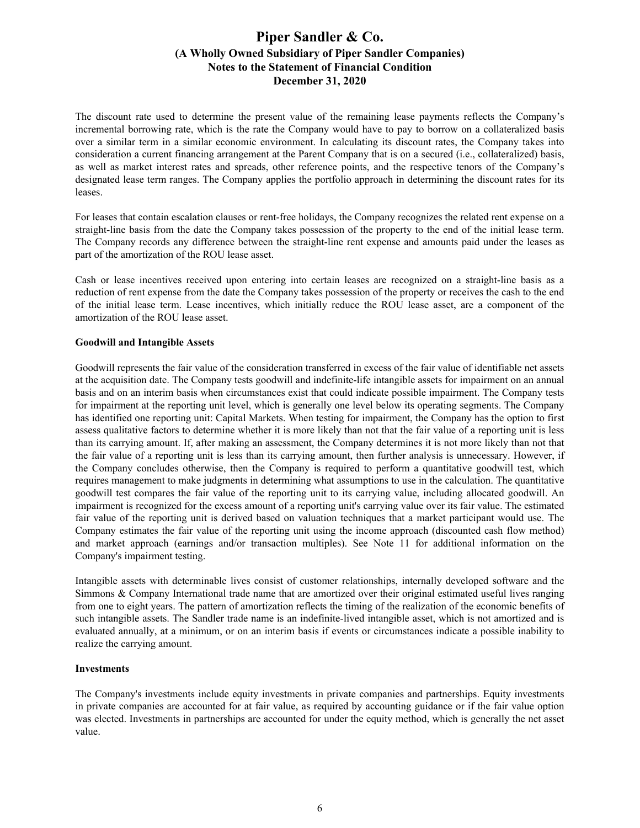The discount rate used to determine the present value of the remaining lease payments reflects the Company's incremental borrowing rate, which is the rate the Company would have to pay to borrow on a collateralized basis over a similar term in a similar economic environment. In calculating its discount rates, the Company takes into consideration a current financing arrangement at the Parent Company that is on a secured (i.e., collateralized) basis, as well as market interest rates and spreads, other reference points, and the respective tenors of the Company's designated lease term ranges. The Company applies the portfolio approach in determining the discount rates for its leases.

For leases that contain escalation clauses or rent-free holidays, the Company recognizes the related rent expense on a straight-line basis from the date the Company takes possession of the property to the end of the initial lease term. The Company records any difference between the straight-line rent expense and amounts paid under the leases as part of the amortization of the ROU lease asset.

Cash or lease incentives received upon entering into certain leases are recognized on a straight-line basis as a reduction of rent expense from the date the Company takes possession of the property or receives the cash to the end of the initial lease term. Lease incentives, which initially reduce the ROU lease asset, are a component of the amortization of the ROU lease asset.

### **Goodwill and Intangible Assets**

Goodwill represents the fair value of the consideration transferred in excess of the fair value of identifiable net assets at the acquisition date. The Company tests goodwill and indefinite-life intangible assets for impairment on an annual basis and on an interim basis when circumstances exist that could indicate possible impairment. The Company tests for impairment at the reporting unit level, which is generally one level below its operating segments. The Company has identified one reporting unit: Capital Markets. When testing for impairment, the Company has the option to first assess qualitative factors to determine whether it is more likely than not that the fair value of a reporting unit is less than its carrying amount. If, after making an assessment, the Company determines it is not more likely than not that the fair value of a reporting unit is less than its carrying amount, then further analysis is unnecessary. However, if the Company concludes otherwise, then the Company is required to perform a quantitative goodwill test, which requires management to make judgments in determining what assumptions to use in the calculation. The quantitative goodwill test compares the fair value of the reporting unit to its carrying value, including allocated goodwill. An impairment is recognized for the excess amount of a reporting unit's carrying value over its fair value. The estimated fair value of the reporting unit is derived based on valuation techniques that a market participant would use. The Company estimates the fair value of the reporting unit using the income approach (discounted cash flow method) and market approach (earnings and/or transaction multiples). See Note 11 for additional information on the Company's impairment testing.

Intangible assets with determinable lives consist of customer relationships, internally developed software and the Simmons & Company International trade name that are amortized over their original estimated useful lives ranging from one to eight years. The pattern of amortization reflects the timing of the realization of the economic benefits of such intangible assets. The Sandler trade name is an indefinite-lived intangible asset, which is not amortized and is evaluated annually, at a minimum, or on an interim basis if events or circumstances indicate a possible inability to realize the carrying amount.

#### **Investments**

The Company's investments include equity investments in private companies and partnerships. Equity investments in private companies are accounted for at fair value, as required by accounting guidance or if the fair value option was elected. Investments in partnerships are accounted for under the equity method, which is generally the net asset value.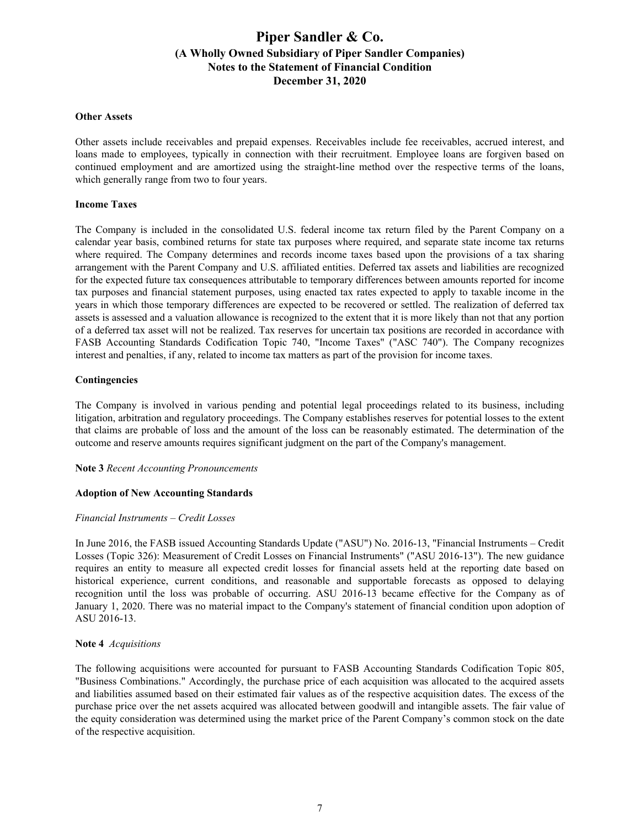#### **Other Assets**

Other assets include receivables and prepaid expenses. Receivables include fee receivables, accrued interest, and loans made to employees, typically in connection with their recruitment. Employee loans are forgiven based on continued employment and are amortized using the straight-line method over the respective terms of the loans, which generally range from two to four years.

### **Income Taxes**

The Company is included in the consolidated U.S. federal income tax return filed by the Parent Company on a calendar year basis, combined returns for state tax purposes where required, and separate state income tax returns where required. The Company determines and records income taxes based upon the provisions of a tax sharing arrangement with the Parent Company and U.S. affiliated entities. Deferred tax assets and liabilities are recognized for the expected future tax consequences attributable to temporary differences between amounts reported for income tax purposes and financial statement purposes, using enacted tax rates expected to apply to taxable income in the years in which those temporary differences are expected to be recovered or settled. The realization of deferred tax assets is assessed and a valuation allowance is recognized to the extent that it is more likely than not that any portion of a deferred tax asset will not be realized. Tax reserves for uncertain tax positions are recorded in accordance with FASB Accounting Standards Codification Topic 740, "Income Taxes" ("ASC 740"). The Company recognizes interest and penalties, if any, related to income tax matters as part of the provision for income taxes.

### **Contingencies**

The Company is involved in various pending and potential legal proceedings related to its business, including litigation, arbitration and regulatory proceedings. The Company establishes reserves for potential losses to the extent that claims are probable of loss and the amount of the loss can be reasonably estimated. The determination of the outcome and reserve amounts requires significant judgment on the part of the Company's management.

#### **Note 3** *Recent Accounting Pronouncements*

#### **Adoption of New Accounting Standards**

#### *Financial Instruments – Credit Losses*

In June 2016, the FASB issued Accounting Standards Update ("ASU") No. 2016-13, "Financial Instruments – Credit Losses (Topic 326): Measurement of Credit Losses on Financial Instruments" ("ASU 2016-13"). The new guidance requires an entity to measure all expected credit losses for financial assets held at the reporting date based on historical experience, current conditions, and reasonable and supportable forecasts as opposed to delaying recognition until the loss was probable of occurring. ASU 2016-13 became effective for the Company as of January 1, 2020. There was no material impact to the Company's statement of financial condition upon adoption of ASU 2016-13.

#### **Note 4** *Acquisitions*

The following acquisitions were accounted for pursuant to FASB Accounting Standards Codification Topic 805, "Business Combinations." Accordingly, the purchase price of each acquisition was allocated to the acquired assets and liabilities assumed based on their estimated fair values as of the respective acquisition dates. The excess of the purchase price over the net assets acquired was allocated between goodwill and intangible assets. The fair value of the equity consideration was determined using the market price of the Parent Company's common stock on the date of the respective acquisition.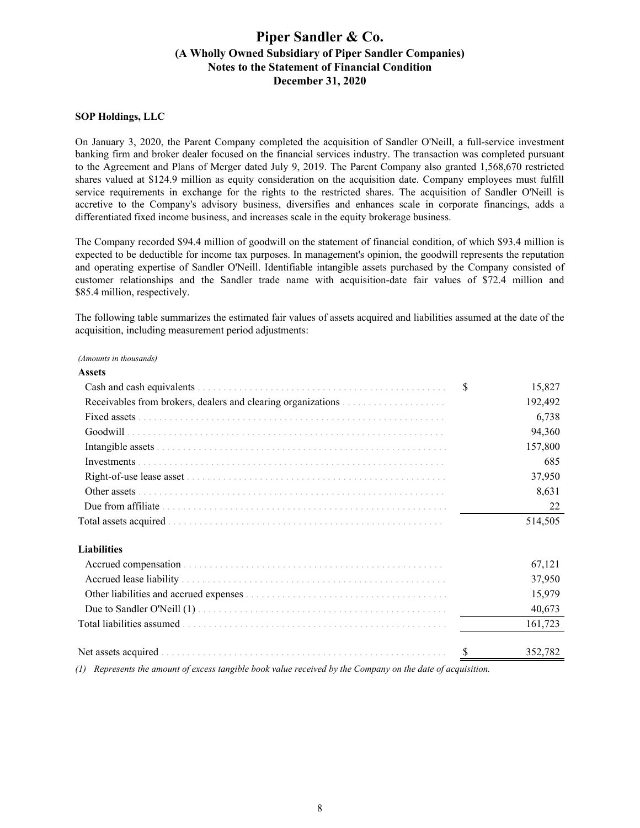### **SOP Holdings, LLC**

On January 3, 2020, the Parent Company completed the acquisition of Sandler O'Neill, a full-service investment banking firm and broker dealer focused on the financial services industry. The transaction was completed pursuant to the Agreement and Plans of Merger dated July 9, 2019. The Parent Company also granted 1,568,670 restricted shares valued at \$124.9 million as equity consideration on the acquisition date. Company employees must fulfill service requirements in exchange for the rights to the restricted shares. The acquisition of Sandler O'Neill is accretive to the Company's advisory business, diversifies and enhances scale in corporate financings, adds a differentiated fixed income business, and increases scale in the equity brokerage business.

The Company recorded \$94.4 million of goodwill on the statement of financial condition, of which \$93.4 million is expected to be deductible for income tax purposes. In management's opinion, the goodwill represents the reputation and operating expertise of Sandler O'Neill. Identifiable intangible assets purchased by the Company consisted of customer relationships and the Sandler trade name with acquisition-date fair values of \$72.4 million and \$85.4 million, respectively.

The following table summarizes the estimated fair values of assets acquired and liabilities assumed at the date of the acquisition, including measurement period adjustments:

#### *(Amounts in thousands)*

| <b>Assets</b>      |             |
|--------------------|-------------|
|                    | S<br>15,827 |
|                    | 192,492     |
|                    | 6,738       |
| Goodwill           | 94,360      |
|                    | 157,800     |
|                    | 685         |
|                    | 37,950      |
| Other assets       | 8,631       |
|                    | 22          |
|                    | 514,505     |
| <b>Liabilities</b> |             |
|                    | 67,121      |
|                    | 37,950      |
|                    | 15,979      |
|                    | 40.673      |

Net assets acquired . . . . . . . . . . . . . . . . . . . . . . . . . . . . . . . . . . . . . . . . . . . . . . . . . . . . . . . \$ 352,782 *(1) Represents the amount of excess tangible book value received by the Company on the date of acquisition.*

Total liabilities assumed . . . . . . . . . . . . . . . . . . . . . . . . . . . . . . . . . . . . . . . . . . . . . . . . . . . 161,723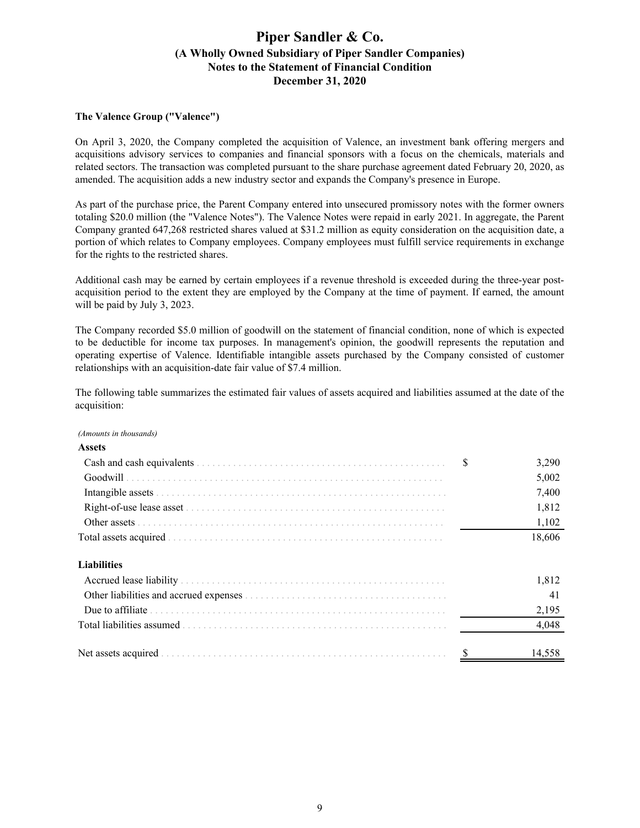### **The Valence Group ("Valence")**

On April 3, 2020, the Company completed the acquisition of Valence, an investment bank offering mergers and acquisitions advisory services to companies and financial sponsors with a focus on the chemicals, materials and related sectors. The transaction was completed pursuant to the share purchase agreement dated February 20, 2020, as amended. The acquisition adds a new industry sector and expands the Company's presence in Europe.

As part of the purchase price, the Parent Company entered into unsecured promissory notes with the former owners totaling \$20.0 million (the "Valence Notes"). The Valence Notes were repaid in early 2021. In aggregate, the Parent Company granted 647,268 restricted shares valued at \$31.2 million as equity consideration on the acquisition date, a portion of which relates to Company employees. Company employees must fulfill service requirements in exchange for the rights to the restricted shares.

Additional cash may be earned by certain employees if a revenue threshold is exceeded during the three-year postacquisition period to the extent they are employed by the Company at the time of payment. If earned, the amount will be paid by July 3, 2023.

The Company recorded \$5.0 million of goodwill on the statement of financial condition, none of which is expected to be deductible for income tax purposes. In management's opinion, the goodwill represents the reputation and operating expertise of Valence. Identifiable intangible assets purchased by the Company consisted of customer relationships with an acquisition-date fair value of \$7.4 million.

The following table summarizes the estimated fair values of assets acquired and liabilities assumed at the date of the acquisition:

*(Amounts in thousands)*

| <b>Assets</b>       |               |        |
|---------------------|---------------|--------|
|                     | \$            | 3,290  |
|                     |               | 5,002  |
|                     |               | 7,400  |
|                     |               | 1,812  |
|                     |               | 1,102  |
|                     |               | 18,606 |
| <b>Liabilities</b>  |               |        |
|                     |               | 1,812  |
|                     |               | 41     |
|                     |               | 2,195  |
|                     |               | 4,048  |
| Net assets acquired | <sup>\$</sup> | 14.558 |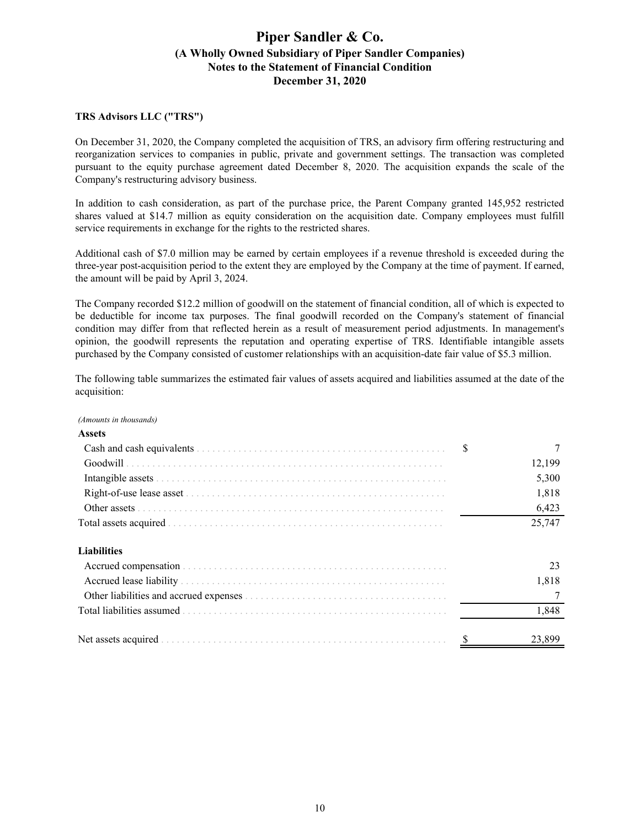### **TRS Advisors LLC ("TRS")**

On December 31, 2020, the Company completed the acquisition of TRS, an advisory firm offering restructuring and reorganization services to companies in public, private and government settings. The transaction was completed pursuant to the equity purchase agreement dated December 8, 2020. The acquisition expands the scale of the Company's restructuring advisory business.

In addition to cash consideration, as part of the purchase price, the Parent Company granted 145,952 restricted shares valued at \$14.7 million as equity consideration on the acquisition date. Company employees must fulfill service requirements in exchange for the rights to the restricted shares.

Additional cash of \$7.0 million may be earned by certain employees if a revenue threshold is exceeded during the three-year post-acquisition period to the extent they are employed by the Company at the time of payment. If earned, the amount will be paid by April 3, 2024.

The Company recorded \$12.2 million of goodwill on the statement of financial condition, all of which is expected to be deductible for income tax purposes. The final goodwill recorded on the Company's statement of financial condition may differ from that reflected herein as a result of measurement period adjustments. In management's opinion, the goodwill represents the reputation and operating expertise of TRS. Identifiable intangible assets purchased by the Company consisted of customer relationships with an acquisition-date fair value of \$5.3 million.

The following table summarizes the estimated fair values of assets acquired and liabilities assumed at the date of the acquisition:

#### *(Amounts in thousands)*

| <b>Assets</b>      |        |
|--------------------|--------|
|                    | \$     |
|                    | 12,199 |
|                    | 5,300  |
|                    | 1,818  |
|                    | 6,423  |
|                    | 25,747 |
| <b>Liabilities</b> |        |
|                    | 23     |
|                    | 1,818  |
|                    |        |
|                    | 1,848  |
|                    | 23,899 |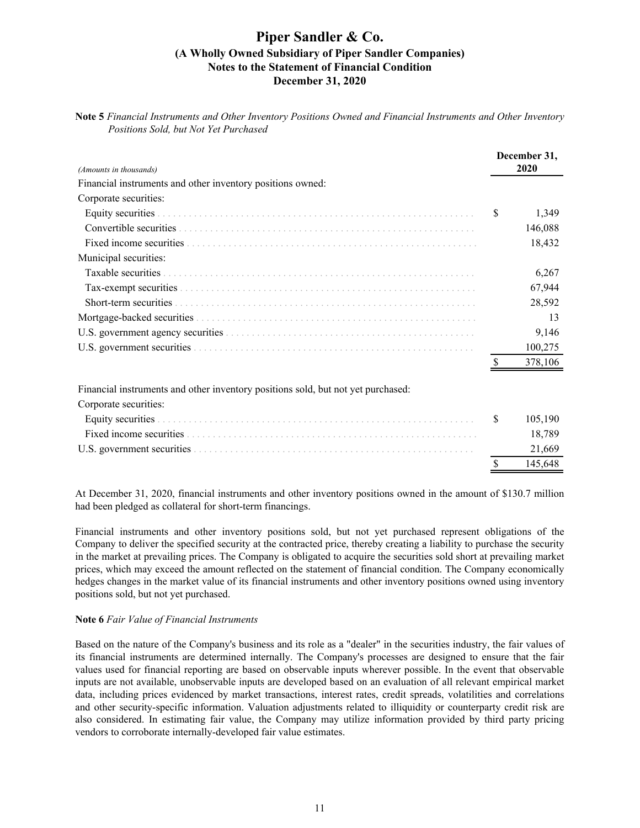**Note 5** *Financial Instruments and Other Inventory Positions Owned and Financial Instruments and Other Inventory Positions Sold, but Not Yet Purchased*

| (Amounts in thousands)                                     |   | December 31,<br>2020 |
|------------------------------------------------------------|---|----------------------|
| Financial instruments and other inventory positions owned: |   |                      |
| Corporate securities:                                      |   |                      |
|                                                            | S | 1,349                |
|                                                            |   | 146,088              |
|                                                            |   | 18,432               |
| Municipal securities:                                      |   |                      |
| Taxable securities                                         |   | 6,267                |
|                                                            |   | 67,944               |
| Short-term securities                                      |   | 28,592               |
|                                                            |   | 13                   |
|                                                            |   | 9,146                |
|                                                            |   | 100,275              |
|                                                            |   | 378,106              |
|                                                            |   |                      |

Financial instruments and other inventory positions sold, but not yet purchased:

Corporate securities:

|  | 105.190 |
|--|---------|
|  | 18.789  |
|  | 21,669  |
|  | 145.648 |

At December 31, 2020, financial instruments and other inventory positions owned in the amount of \$130.7 million had been pledged as collateral for short-term financings.

Financial instruments and other inventory positions sold, but not yet purchased represent obligations of the Company to deliver the specified security at the contracted price, thereby creating a liability to purchase the security in the market at prevailing prices. The Company is obligated to acquire the securities sold short at prevailing market prices, which may exceed the amount reflected on the statement of financial condition. The Company economically hedges changes in the market value of its financial instruments and other inventory positions owned using inventory positions sold, but not yet purchased.

#### **Note 6** *Fair Value of Financial Instruments*

Based on the nature of the Company's business and its role as a "dealer" in the securities industry, the fair values of its financial instruments are determined internally. The Company's processes are designed to ensure that the fair values used for financial reporting are based on observable inputs wherever possible. In the event that observable inputs are not available, unobservable inputs are developed based on an evaluation of all relevant empirical market data, including prices evidenced by market transactions, interest rates, credit spreads, volatilities and correlations and other security-specific information. Valuation adjustments related to illiquidity or counterparty credit risk are also considered. In estimating fair value, the Company may utilize information provided by third party pricing vendors to corroborate internally-developed fair value estimates.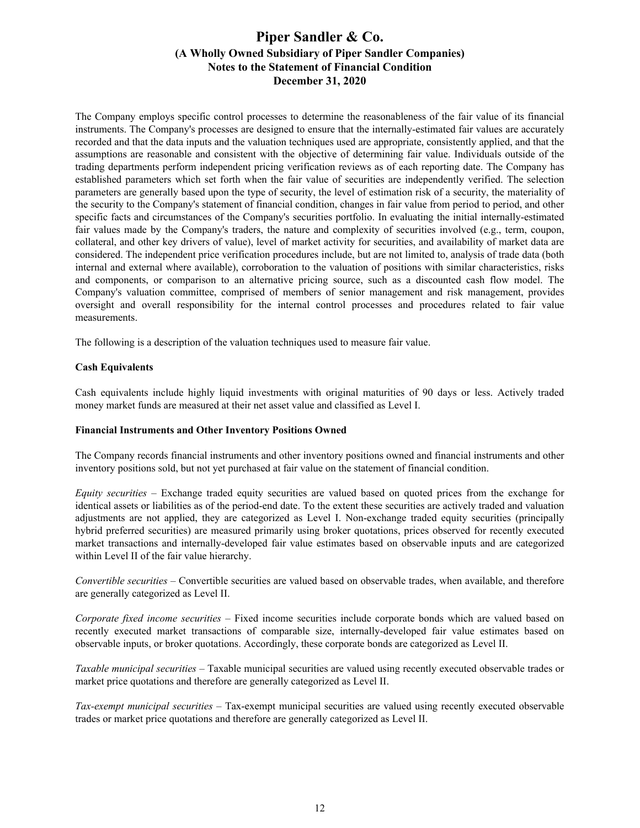The Company employs specific control processes to determine the reasonableness of the fair value of its financial instruments. The Company's processes are designed to ensure that the internally-estimated fair values are accurately recorded and that the data inputs and the valuation techniques used are appropriate, consistently applied, and that the assumptions are reasonable and consistent with the objective of determining fair value. Individuals outside of the trading departments perform independent pricing verification reviews as of each reporting date. The Company has established parameters which set forth when the fair value of securities are independently verified. The selection parameters are generally based upon the type of security, the level of estimation risk of a security, the materiality of the security to the Company's statement of financial condition, changes in fair value from period to period, and other specific facts and circumstances of the Company's securities portfolio. In evaluating the initial internally-estimated fair values made by the Company's traders, the nature and complexity of securities involved (e.g., term, coupon, collateral, and other key drivers of value), level of market activity for securities, and availability of market data are considered. The independent price verification procedures include, but are not limited to, analysis of trade data (both internal and external where available), corroboration to the valuation of positions with similar characteristics, risks and components, or comparison to an alternative pricing source, such as a discounted cash flow model. The Company's valuation committee, comprised of members of senior management and risk management, provides oversight and overall responsibility for the internal control processes and procedures related to fair value measurements.

The following is a description of the valuation techniques used to measure fair value.

### **Cash Equivalents**

Cash equivalents include highly liquid investments with original maturities of 90 days or less. Actively traded money market funds are measured at their net asset value and classified as Level I.

### **Financial Instruments and Other Inventory Positions Owned**

The Company records financial instruments and other inventory positions owned and financial instruments and other inventory positions sold, but not yet purchased at fair value on the statement of financial condition.

*Equity securities –* Exchange traded equity securities are valued based on quoted prices from the exchange for identical assets or liabilities as of the period-end date. To the extent these securities are actively traded and valuation adjustments are not applied, they are categorized as Level I. Non-exchange traded equity securities (principally hybrid preferred securities) are measured primarily using broker quotations, prices observed for recently executed market transactions and internally-developed fair value estimates based on observable inputs and are categorized within Level II of the fair value hierarchy.

*Convertible securities –* Convertible securities are valued based on observable trades, when available, and therefore are generally categorized as Level II.

*Corporate fixed income securities –* Fixed income securities include corporate bonds which are valued based on recently executed market transactions of comparable size, internally-developed fair value estimates based on observable inputs, or broker quotations. Accordingly, these corporate bonds are categorized as Level II.

*Taxable municipal securities –* Taxable municipal securities are valued using recently executed observable trades or market price quotations and therefore are generally categorized as Level II.

*Tax-exempt municipal securities –* Tax-exempt municipal securities are valued using recently executed observable trades or market price quotations and therefore are generally categorized as Level II.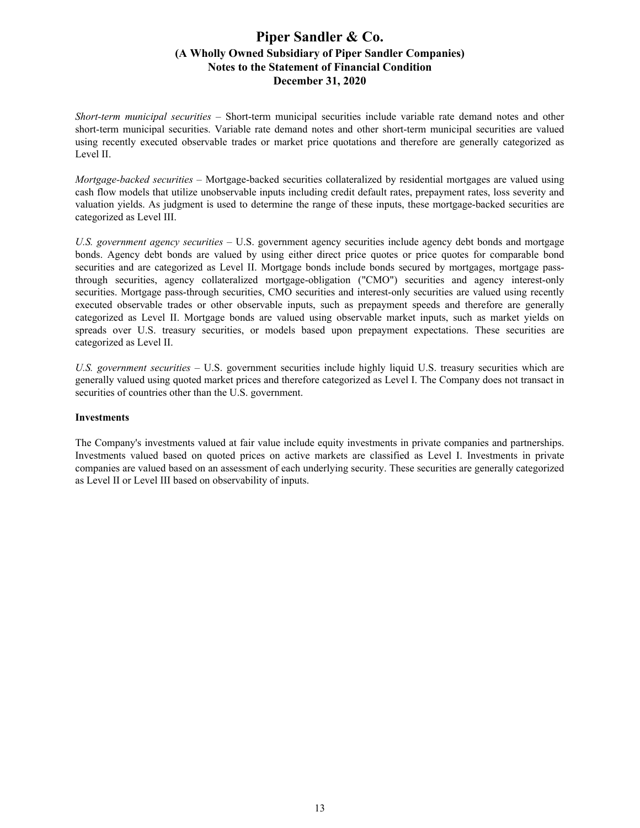*Short-term municipal securities –* Short-term municipal securities include variable rate demand notes and other short-term municipal securities. Variable rate demand notes and other short-term municipal securities are valued using recently executed observable trades or market price quotations and therefore are generally categorized as Level II.

*Mortgage-backed securities –* Mortgage-backed securities collateralized by residential mortgages are valued using cash flow models that utilize unobservable inputs including credit default rates, prepayment rates, loss severity and valuation yields. As judgment is used to determine the range of these inputs, these mortgage-backed securities are categorized as Level III.

*U.S. government agency securities –* U.S. government agency securities include agency debt bonds and mortgage bonds. Agency debt bonds are valued by using either direct price quotes or price quotes for comparable bond securities and are categorized as Level II. Mortgage bonds include bonds secured by mortgages, mortgage passthrough securities, agency collateralized mortgage-obligation ("CMO") securities and agency interest-only securities. Mortgage pass-through securities, CMO securities and interest-only securities are valued using recently executed observable trades or other observable inputs, such as prepayment speeds and therefore are generally categorized as Level II. Mortgage bonds are valued using observable market inputs, such as market yields on spreads over U.S. treasury securities, or models based upon prepayment expectations. These securities are categorized as Level II.

*U.S. government securities –* U.S. government securities include highly liquid U.S. treasury securities which are generally valued using quoted market prices and therefore categorized as Level I. The Company does not transact in securities of countries other than the U.S. government.

### **Investments**

The Company's investments valued at fair value include equity investments in private companies and partnerships. Investments valued based on quoted prices on active markets are classified as Level I. Investments in private companies are valued based on an assessment of each underlying security. These securities are generally categorized as Level II or Level III based on observability of inputs.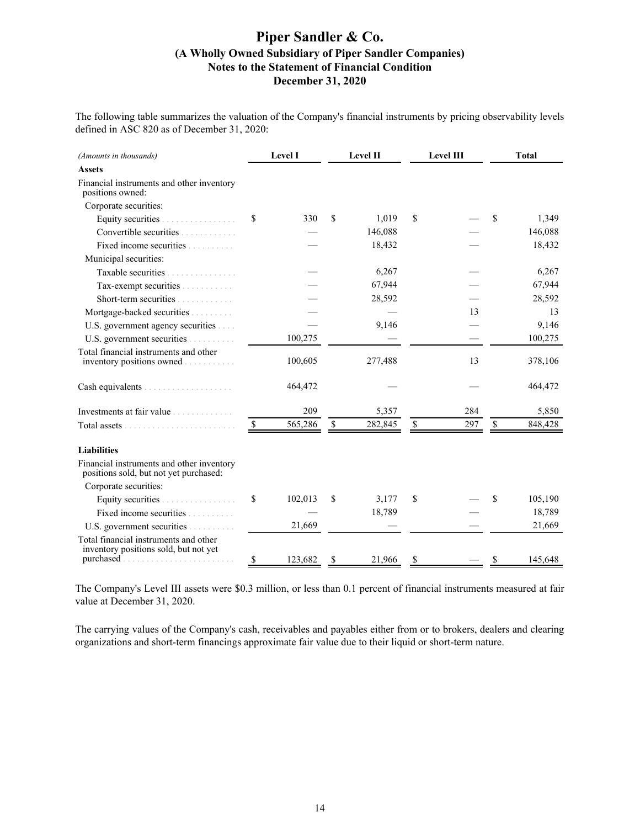The following table summarizes the valuation of the Company's financial instruments by pricing observability levels defined in ASC 820 as of December 31, 2020:

| (Amounts in thousands)                                                              |               | <b>Level I</b> |             | Level II | <b>Level III</b> |             | <b>Total</b> |
|-------------------------------------------------------------------------------------|---------------|----------------|-------------|----------|------------------|-------------|--------------|
| <b>Assets</b>                                                                       |               |                |             |          |                  |             |              |
| Financial instruments and other inventory<br>positions owned:                       |               |                |             |          |                  |             |              |
| Corporate securities:                                                               |               |                |             |          |                  |             |              |
| Equity securities                                                                   | \$            | 330            | \$          | 1,019    | \$               | \$          | 1,349        |
| Convertible securities                                                              |               |                |             | 146,088  |                  |             | 146,088      |
| Fixed income securities                                                             |               |                |             | 18,432   |                  |             | 18,432       |
| Municipal securities:                                                               |               |                |             |          |                  |             |              |
| Taxable securities                                                                  |               |                |             | 6,267    |                  |             | 6,267        |
| Tax-exempt securities                                                               |               |                |             | 67,944   |                  |             | 67,944       |
| Short-term securities                                                               |               |                |             | 28,592   |                  |             | 28,592       |
| Mortgage-backed securities                                                          |               |                |             |          | 13               |             | 13           |
| U.S. government agency securities                                                   |               |                |             | 9,146    |                  |             | 9,146        |
| U.S. government securities                                                          |               | 100,275        |             |          |                  |             | 100,275      |
| Total financial instruments and other<br>inventory positions owned                  |               | 100,605        |             | 277,488  | 13               |             | 378,106      |
|                                                                                     |               | 464,472        |             |          |                  |             | 464,472      |
| Investments at fair value                                                           |               | 209            |             | 5,357    | 284              |             | 5,850        |
|                                                                                     | $\mathcal{S}$ | 565,286        | $\mathbb S$ | 282,845  | \$<br>297        | $\mathbb S$ | 848,428      |
| <b>Liabilities</b>                                                                  |               |                |             |          |                  |             |              |
| Financial instruments and other inventory<br>positions sold, but not yet purchased: |               |                |             |          |                  |             |              |
| Corporate securities:                                                               |               |                |             |          |                  |             |              |
| Equity securities .<br>.                                                            | \$            | 102,013        | \$          | 3,177    | \$               | \$          | 105,190      |
| Fixed income securities                                                             |               |                |             | 18,789   |                  |             | 18,789       |
| U.S. government securities                                                          |               | 21,669         |             |          |                  |             | 21,669       |
| Total financial instruments and other<br>inventory positions sold, but not yet      |               |                |             |          |                  |             |              |
|                                                                                     | \$            | 123,682        | \$          | 21,966   | \$               | \$          | 145,648      |

The Company's Level III assets were \$0.3 million, or less than 0.1 percent of financial instruments measured at fair value at December 31, 2020.

The carrying values of the Company's cash, receivables and payables either from or to brokers, dealers and clearing organizations and short-term financings approximate fair value due to their liquid or short-term nature.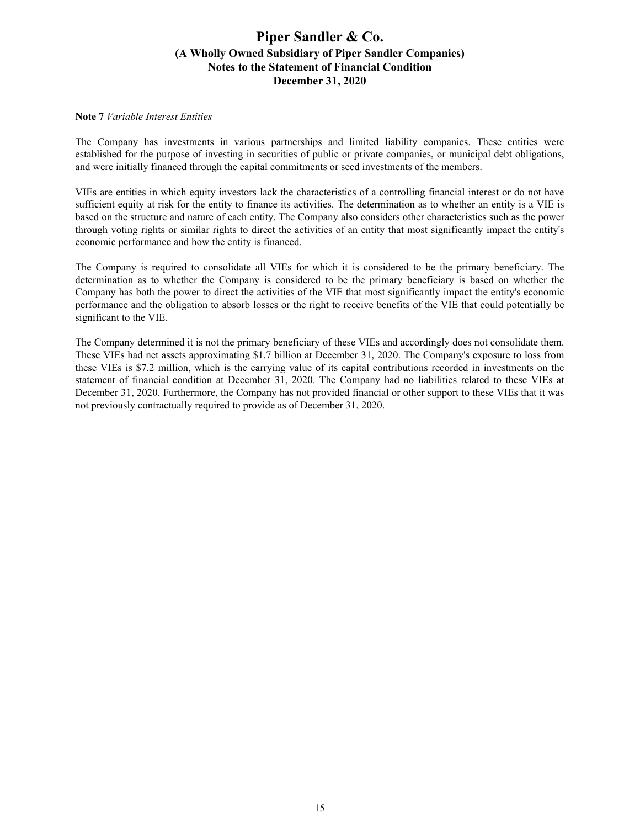### **Note 7** *Variable Interest Entities*

The Company has investments in various partnerships and limited liability companies. These entities were established for the purpose of investing in securities of public or private companies, or municipal debt obligations, and were initially financed through the capital commitments or seed investments of the members.

VIEs are entities in which equity investors lack the characteristics of a controlling financial interest or do not have sufficient equity at risk for the entity to finance its activities. The determination as to whether an entity is a VIE is based on the structure and nature of each entity. The Company also considers other characteristics such as the power through voting rights or similar rights to direct the activities of an entity that most significantly impact the entity's economic performance and how the entity is financed.

The Company is required to consolidate all VIEs for which it is considered to be the primary beneficiary. The determination as to whether the Company is considered to be the primary beneficiary is based on whether the Company has both the power to direct the activities of the VIE that most significantly impact the entity's economic performance and the obligation to absorb losses or the right to receive benefits of the VIE that could potentially be significant to the VIE.

The Company determined it is not the primary beneficiary of these VIEs and accordingly does not consolidate them. These VIEs had net assets approximating \$1.7 billion at December 31, 2020. The Company's exposure to loss from these VIEs is \$7.2 million, which is the carrying value of its capital contributions recorded in investments on the statement of financial condition at December 31, 2020. The Company had no liabilities related to these VIEs at December 31, 2020. Furthermore, the Company has not provided financial or other support to these VIEs that it was not previously contractually required to provide as of December 31, 2020.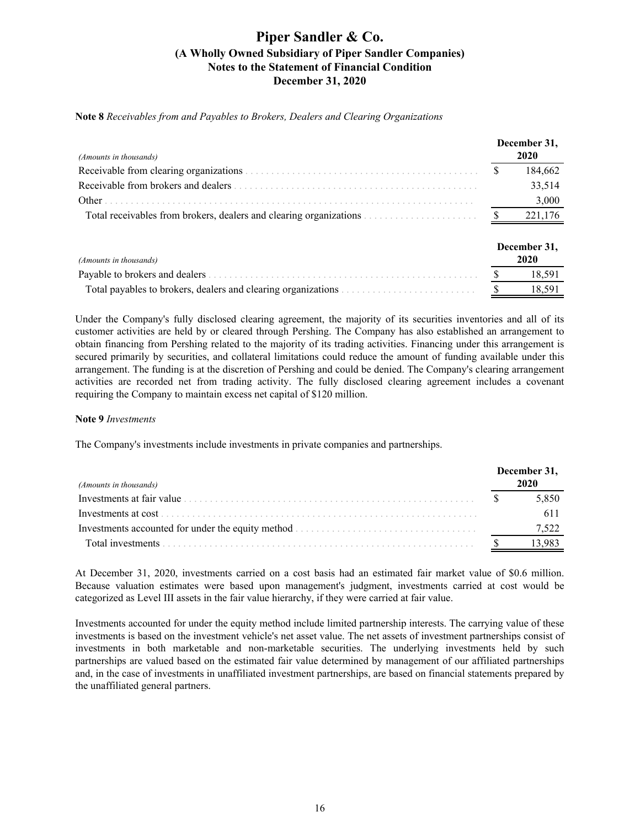**Note 8** *Receivables from and Payables to Brokers, Dealers and Clearing Organizations*

| (Amounts in thousands)                                              | December 31,<br>2020 |
|---------------------------------------------------------------------|----------------------|
|                                                                     | 184,662              |
|                                                                     | 33,514               |
| Other                                                               | 3,000                |
| Total receivables from brokers, dealers and clearing organizations. | 221,176              |
| (Amounts in thousands)                                              | December 31.<br>2020 |
|                                                                     | 18,591               |
| Total payables to brokers, dealers and clearing organizations.      | 18,591               |

Under the Company's fully disclosed clearing agreement, the majority of its securities inventories and all of its customer activities are held by or cleared through Pershing. The Company has also established an arrangement to obtain financing from Pershing related to the majority of its trading activities. Financing under this arrangement is secured primarily by securities, and collateral limitations could reduce the amount of funding available under this arrangement. The funding is at the discretion of Pershing and could be denied. The Company's clearing arrangement activities are recorded net from trading activity. The fully disclosed clearing agreement includes a covenant requiring the Company to maintain excess net capital of \$120 million.

#### **Note 9** *Investments*

The Company's investments include investments in private companies and partnerships.

| (Amounts in thousands)    | December 31,<br>2020 |
|---------------------------|----------------------|
| Investments at fair value | 5,850                |
|                           |                      |
|                           | 7.522                |
|                           |                      |

At December 31, 2020, investments carried on a cost basis had an estimated fair market value of \$0.6 million. Because valuation estimates were based upon management's judgment, investments carried at cost would be categorized as Level III assets in the fair value hierarchy, if they were carried at fair value.

Investments accounted for under the equity method include limited partnership interests. The carrying value of these investments is based on the investment vehicle's net asset value. The net assets of investment partnerships consist of investments in both marketable and non-marketable securities. The underlying investments held by such partnerships are valued based on the estimated fair value determined by management of our affiliated partnerships and, in the case of investments in unaffiliated investment partnerships, are based on financial statements prepared by the unaffiliated general partners.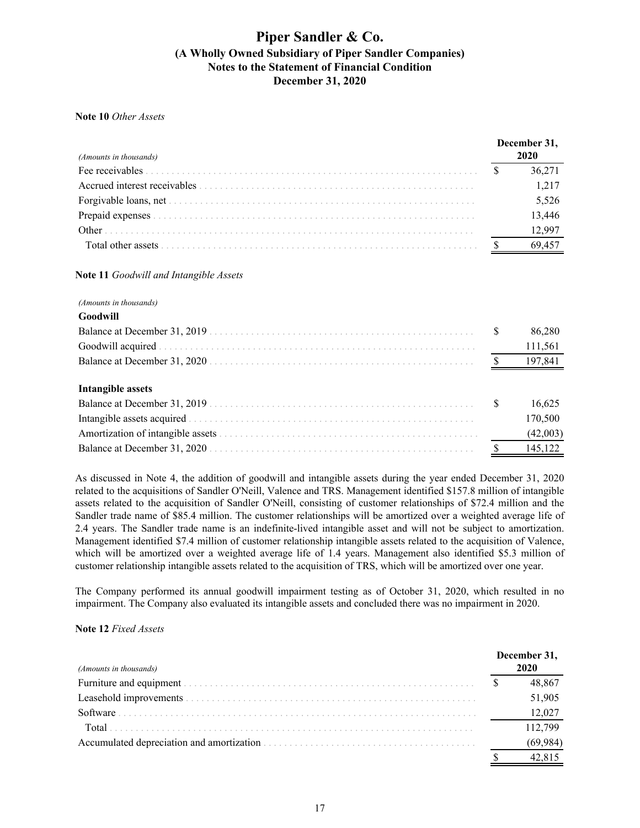### **Note 10** *Other Assets*

| (Amounts in thousands) | December 31,<br>2020 |
|------------------------|----------------------|
|                        | 36.271               |
|                        | 1.217                |
|                        | 5,526                |
|                        | 13,446               |
|                        | 12.99                |
|                        |                      |

### **Note 11** *Goodwill and Intangible Assets*

#### *(Amounts in thousands)*

| Goodwill          |         |
|-------------------|---------|
|                   | 86,280  |
|                   | 111,561 |
|                   | 197,841 |
|                   |         |
| Intangible assets |         |
|                   | 16 625  |

|  | 10.023   |
|--|----------|
|  | 170.500  |
|  | (42,003) |
|  | 145.122  |
|  |          |

As discussed in Note 4, the addition of goodwill and intangible assets during the year ended December 31, 2020 related to the acquisitions of Sandler O'Neill, Valence and TRS. Management identified \$157.8 million of intangible assets related to the acquisition of Sandler O'Neill, consisting of customer relationships of \$72.4 million and the Sandler trade name of \$85.4 million. The customer relationships will be amortized over a weighted average life of 2.4 years. The Sandler trade name is an indefinite-lived intangible asset and will not be subject to amortization. Management identified \$7.4 million of customer relationship intangible assets related to the acquisition of Valence, which will be amortized over a weighted average life of 1.4 years. Management also identified \$5.3 million of customer relationship intangible assets related to the acquisition of TRS, which will be amortized over one year.

The Company performed its annual goodwill impairment testing as of October 31, 2020, which resulted in no impairment. The Company also evaluated its intangible assets and concluded there was no impairment in 2020.

#### **Note 12** *Fixed Assets*

| (Amounts in thousands)                                                                                                                                                                                                         | December 31,<br>2020 |        |
|--------------------------------------------------------------------------------------------------------------------------------------------------------------------------------------------------------------------------------|----------------------|--------|
|                                                                                                                                                                                                                                |                      | 48.867 |
|                                                                                                                                                                                                                                |                      | 51,905 |
|                                                                                                                                                                                                                                |                      | 12.027 |
| Total                                                                                                                                                                                                                          |                      | 112799 |
| Accumulated depreciation and amortization enterprise in the set of the set of the set of the set of the set of the set of the set of the set of the set of the set of the set of the set of the set of the set of the set of t |                      |        |
|                                                                                                                                                                                                                                |                      |        |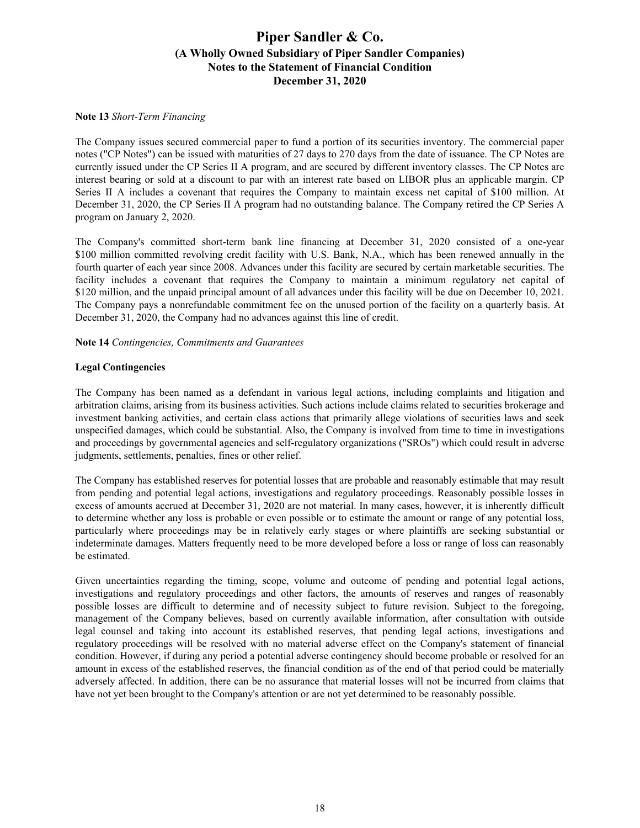### **Note 13** *Short-Term Financing*

The Company issues secured commercial paper to fund a portion of its securities inventory. The commercial paper notes ("CP Notes") can be issued with maturities of 27 days to 270 days from the date of issuance. The CP Notes are currently issued under the CP Series II A program, and are secured by different inventory classes. The CP Notes are interest bearing or sold at a discount to par with an interest rate based on LIBOR plus an applicable margin. CP Series II A includes a covenant that requires the Company to maintain excess net capital of \$100 million. At December 31, 2020, the CP Series II A program had no outstanding balance. The Company retired the CP Series A program on January 2, 2020.

The Company's committed short-term bank line financing at December 31, 2020 consisted of a one-year \$100 million committed revolving credit facility with U.S. Bank, N.A., which has been renewed annually in the fourth quarter of each year since 2008. Advances under this facility are secured by certain marketable securities. The facility includes a covenant that requires the Company to maintain a minimum regulatory net capital of \$120 million, and the unpaid principal amount of all advances under this facility will be due on December 10, 2021. The Company pays a nonrefundable commitment fee on the unused portion of the facility on a quarterly basis. At December 31, 2020, the Company had no advances against this line of credit.

### **Note 14** *Contingencies, Commitments and Guarantees*

### **Legal Contingencies**

The Company has been named as a defendant in various legal actions, including complaints and litigation and arbitration claims, arising from its business activities. Such actions include claims related to securities brokerage and investment banking activities, and certain class actions that primarily allege violations of securities laws and seek unspecified damages, which could be substantial. Also, the Company is involved from time to time in investigations and proceedings by governmental agencies and self-regulatory organizations ("SROs") which could result in adverse judgments, settlements, penalties, fines or other relief.

The Company has established reserves for potential losses that are probable and reasonably estimable that may result from pending and potential legal actions, investigations and regulatory proceedings. Reasonably possible losses in excess of amounts accrued at December 31, 2020 are not material. In many cases, however, it is inherently difficult to determine whether any loss is probable or even possible or to estimate the amount or range of any potential loss, particularly where proceedings may be in relatively early stages or where plaintiffs are seeking substantial or indeterminate damages. Matters frequently need to be more developed before a loss or range of loss can reasonably be estimated.

Given uncertainties regarding the timing, scope, volume and outcome of pending and potential legal actions, investigations and regulatory proceedings and other factors, the amounts of reserves and ranges of reasonably possible losses are difficult to determine and of necessity subject to future revision. Subject to the foregoing, management of the Company believes, based on currently available information, after consultation with outside legal counsel and taking into account its established reserves, that pending legal actions, investigations and regulatory proceedings will be resolved with no material adverse effect on the Company's statement of financial condition. However, if during any period a potential adverse contingency should become probable or resolved for an amount in excess of the established reserves, the financial condition as of the end of that period could be materially adversely affected. In addition, there can be no assurance that material losses will not be incurred from claims that have not yet been brought to the Company's attention or are not yet determined to be reasonably possible.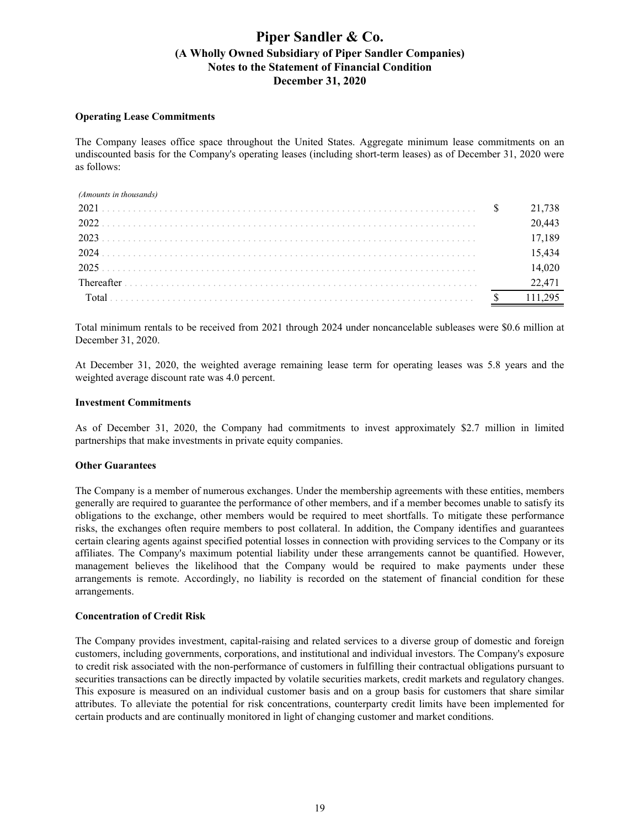### **Operating Lease Commitments**

The Company leases office space throughout the United States. Aggregate minimum lease commitments on an undiscounted basis for the Company's operating leases (including short-term leases) as of December 31, 2020 were as follows:

| (Amounts in thousands) |        |
|------------------------|--------|
| 2021                   | 21 738 |
| 2022                   |        |
| 2023                   |        |
| 2024                   |        |
| 2025                   |        |
|                        |        |
|                        |        |

Total minimum rentals to be received from 2021 through 2024 under noncancelable subleases were \$0.6 million at December 31, 2020.

At December 31, 2020, the weighted average remaining lease term for operating leases was 5.8 years and the weighted average discount rate was 4.0 percent.

#### **Investment Commitments**

As of December 31, 2020, the Company had commitments to invest approximately \$2.7 million in limited partnerships that make investments in private equity companies.

### **Other Guarantees**

The Company is a member of numerous exchanges. Under the membership agreements with these entities, members generally are required to guarantee the performance of other members, and if a member becomes unable to satisfy its obligations to the exchange, other members would be required to meet shortfalls. To mitigate these performance risks, the exchanges often require members to post collateral. In addition, the Company identifies and guarantees certain clearing agents against specified potential losses in connection with providing services to the Company or its affiliates. The Company's maximum potential liability under these arrangements cannot be quantified. However, management believes the likelihood that the Company would be required to make payments under these arrangements is remote. Accordingly, no liability is recorded on the statement of financial condition for these arrangements.

#### **Concentration of Credit Risk**

The Company provides investment, capital-raising and related services to a diverse group of domestic and foreign customers, including governments, corporations, and institutional and individual investors. The Company's exposure to credit risk associated with the non-performance of customers in fulfilling their contractual obligations pursuant to securities transactions can be directly impacted by volatile securities markets, credit markets and regulatory changes. This exposure is measured on an individual customer basis and on a group basis for customers that share similar attributes. To alleviate the potential for risk concentrations, counterparty credit limits have been implemented for certain products and are continually monitored in light of changing customer and market conditions.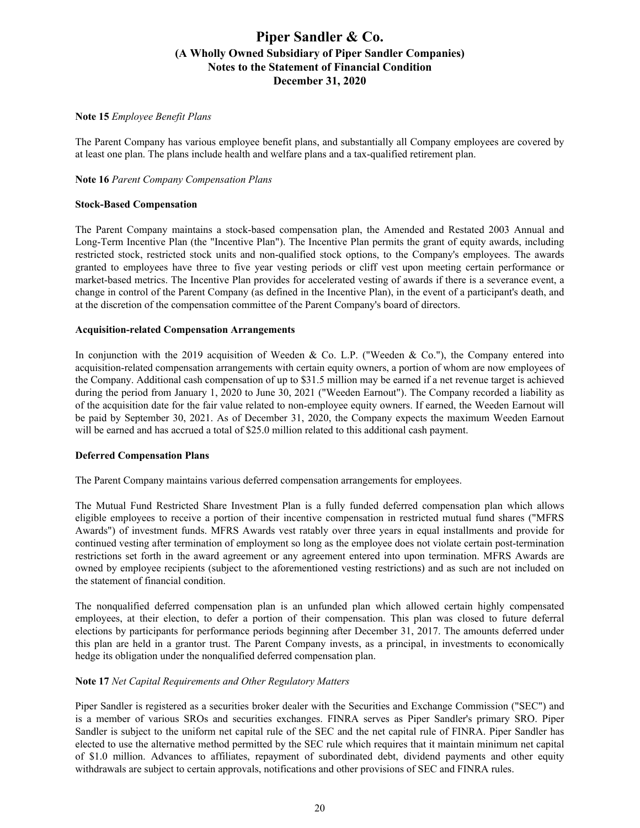### **Note 15** *Employee Benefit Plans*

The Parent Company has various employee benefit plans, and substantially all Company employees are covered by at least one plan. The plans include health and welfare plans and a tax-qualified retirement plan.

### **Note 16** *Parent Company Compensation Plans*

### **Stock-Based Compensation**

The Parent Company maintains a stock-based compensation plan, the Amended and Restated 2003 Annual and Long-Term Incentive Plan (the "Incentive Plan"). The Incentive Plan permits the grant of equity awards, including restricted stock, restricted stock units and non-qualified stock options, to the Company's employees. The awards granted to employees have three to five year vesting periods or cliff vest upon meeting certain performance or market-based metrics. The Incentive Plan provides for accelerated vesting of awards if there is a severance event, a change in control of the Parent Company (as defined in the Incentive Plan), in the event of a participant's death, and at the discretion of the compensation committee of the Parent Company's board of directors.

### **Acquisition-related Compensation Arrangements**

In conjunction with the 2019 acquisition of Weeden & Co. L.P. ("Weeden & Co."), the Company entered into acquisition-related compensation arrangements with certain equity owners, a portion of whom are now employees of the Company. Additional cash compensation of up to \$31.5 million may be earned if a net revenue target is achieved during the period from January 1, 2020 to June 30, 2021 ("Weeden Earnout"). The Company recorded a liability as of the acquisition date for the fair value related to non-employee equity owners. If earned, the Weeden Earnout will be paid by September 30, 2021. As of December 31, 2020, the Company expects the maximum Weeden Earnout will be earned and has accrued a total of \$25.0 million related to this additional cash payment.

#### **Deferred Compensation Plans**

The Parent Company maintains various deferred compensation arrangements for employees.

The Mutual Fund Restricted Share Investment Plan is a fully funded deferred compensation plan which allows eligible employees to receive a portion of their incentive compensation in restricted mutual fund shares ("MFRS Awards") of investment funds. MFRS Awards vest ratably over three years in equal installments and provide for continued vesting after termination of employment so long as the employee does not violate certain post-termination restrictions set forth in the award agreement or any agreement entered into upon termination. MFRS Awards are owned by employee recipients (subject to the aforementioned vesting restrictions) and as such are not included on the statement of financial condition.

The nonqualified deferred compensation plan is an unfunded plan which allowed certain highly compensated employees, at their election, to defer a portion of their compensation. This plan was closed to future deferral elections by participants for performance periods beginning after December 31, 2017. The amounts deferred under this plan are held in a grantor trust. The Parent Company invests, as a principal, in investments to economically hedge its obligation under the nonqualified deferred compensation plan.

### **Note 17** *Net Capital Requirements and Other Regulatory Matters*

Piper Sandler is registered as a securities broker dealer with the Securities and Exchange Commission ("SEC") and is a member of various SROs and securities exchanges. FINRA serves as Piper Sandler's primary SRO. Piper Sandler is subject to the uniform net capital rule of the SEC and the net capital rule of FINRA. Piper Sandler has elected to use the alternative method permitted by the SEC rule which requires that it maintain minimum net capital of \$1.0 million. Advances to affiliates, repayment of subordinated debt, dividend payments and other equity withdrawals are subject to certain approvals, notifications and other provisions of SEC and FINRA rules.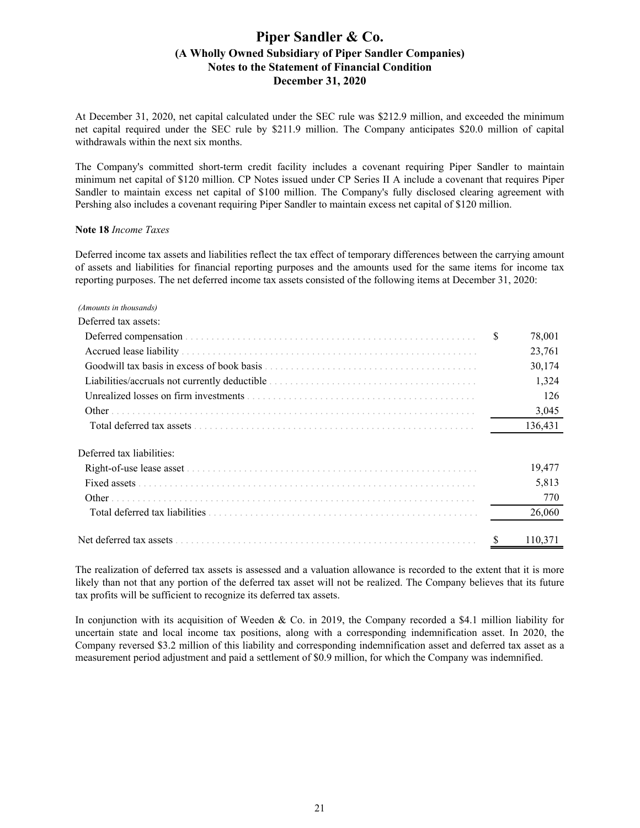At December 31, 2020, net capital calculated under the SEC rule was \$212.9 million, and exceeded the minimum net capital required under the SEC rule by \$211.9 million. The Company anticipates \$20.0 million of capital withdrawals within the next six months.

The Company's committed short-term credit facility includes a covenant requiring Piper Sandler to maintain minimum net capital of \$120 million. CP Notes issued under CP Series II A include a covenant that requires Piper Sandler to maintain excess net capital of \$100 million. The Company's fully disclosed clearing agreement with Pershing also includes a covenant requiring Piper Sandler to maintain excess net capital of \$120 million.

#### **Note 18** *Income Taxes*

Deferred income tax assets and liabilities reflect the tax effect of temporary differences between the carrying amount of assets and liabilities for financial reporting purposes and the amounts used for the same items for income tax reporting purposes. The net deferred income tax assets consisted of the following items at December 31, 2020:

#### *(Amounts in thousands)*

| Deferred tax assets:                                                                                                                                                                                                          |              |
|-------------------------------------------------------------------------------------------------------------------------------------------------------------------------------------------------------------------------------|--------------|
|                                                                                                                                                                                                                               | \$<br>78,001 |
|                                                                                                                                                                                                                               | 23,761       |
| Goodwill tax basis in excess of book basis expressions of the contract of the contract of the contract of the contract of the contract of the contract of the contract of the contract of the contract of the contract of the | 30,174       |
|                                                                                                                                                                                                                               | 1,324        |
|                                                                                                                                                                                                                               | 126          |
| Other                                                                                                                                                                                                                         | 3,045        |
|                                                                                                                                                                                                                               | 136,431      |
| Deferred tax liabilities:                                                                                                                                                                                                     |              |
|                                                                                                                                                                                                                               | 19,477       |
|                                                                                                                                                                                                                               | 5,813        |
| Other                                                                                                                                                                                                                         | 770          |
|                                                                                                                                                                                                                               | 26,060       |
| Net deferred tax assets                                                                                                                                                                                                       | 110,371      |

The realization of deferred tax assets is assessed and a valuation allowance is recorded to the extent that it is more likely than not that any portion of the deferred tax asset will not be realized. The Company believes that its future tax profits will be sufficient to recognize its deferred tax assets.

In conjunction with its acquisition of Weeden & Co. in 2019, the Company recorded a \$4.1 million liability for uncertain state and local income tax positions, along with a corresponding indemnification asset. In 2020, the Company reversed \$3.2 million of this liability and corresponding indemnification asset and deferred tax asset as a measurement period adjustment and paid a settlement of \$0.9 million, for which the Company was indemnified.